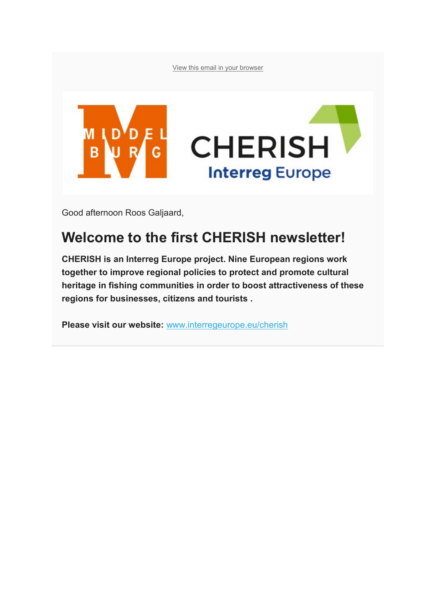[View this email in your browser](https://mailchi.mp/d681ba640fe6/update-cherish-kick-off-event-middelburg-143651?e=7af234d394)



Good afternoon Roos Galjaard,

## **Welcome to the first CHERISH newsletter!**

**CHERISH is an Interreg Europe project. Nine European regions work together to improve regional policies to protect and promote cultural heritage in fishing communities in order to boost attractiveness of these regions for businesses, citizens and tourists .**

**Please visit our website:** [www.interregeurope.eu/cherish](https://www.interregeurope.eu/cherish/)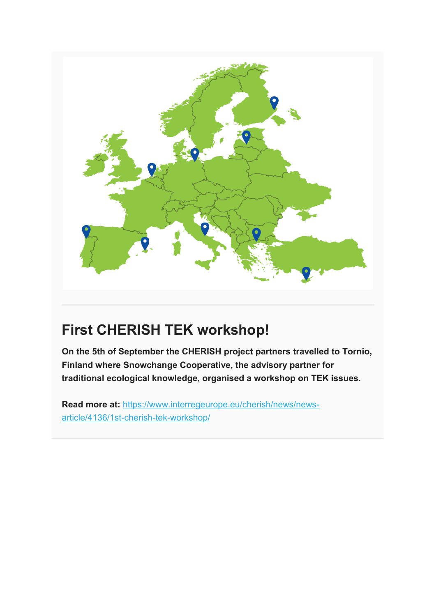

# **First CHERISH TEK workshop!**

**On the 5th of September the CHERISH project partners travelled to Tornio, Finland where Snowchange Cooperative, the advisory partner for traditional ecological knowledge, organised a workshop on TEK issues.** 

**Read more at:** [https://www.interregeurope.eu/cherish/news/news](https://www.interregeurope.eu/cherish/news/news-article/4136/1st-cherish-tek-workshop/)[article/4136/1st-cherish-tek-workshop/](https://www.interregeurope.eu/cherish/news/news-article/4136/1st-cherish-tek-workshop/)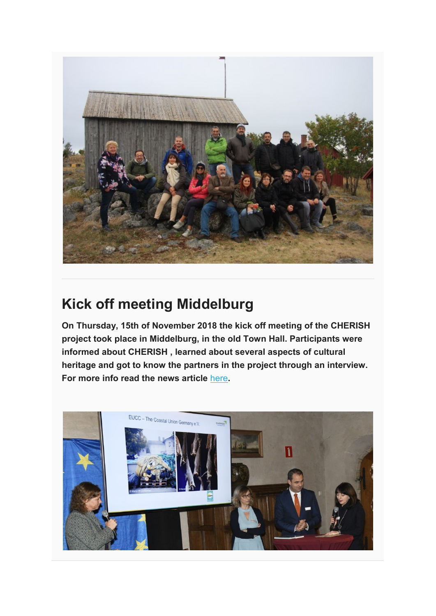

## **Kick off meeting Middelburg**

**On Thursday, 15th of November 2018 the kick off meeting of the CHERISH project took place in Middelburg, in the old Town Hall. Participants were informed about CHERISH , learned about several aspects of cultural heritage and got to know the partners in the project through an interview. For more info read the news article** [here](https://www.interregeurope.eu/cherish/news/news-article/4531/kick-off-meeting-cherish-in-middelburg)**.**

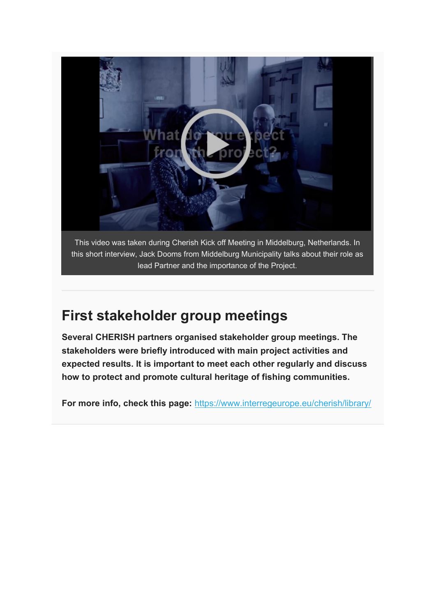

## **First stakeholder group meetings**

**Several CHERISH partners organised stakeholder group meetings. The stakeholders were briefly introduced with main project activities and expected results. It is important to meet each other regularly and discuss how to protect and promote cultural heritage of fishing communities.**

**For more info, check this page:** <https://www.interregeurope.eu/cherish/library/>